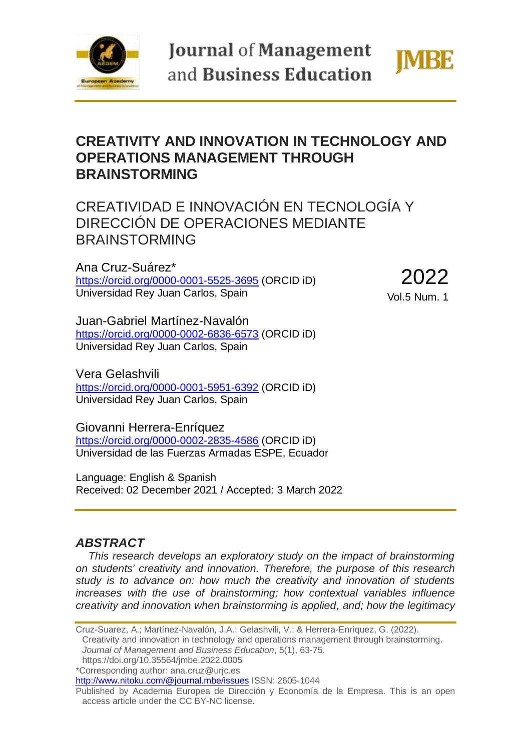

**Journal of Management** and Business Education



# **CREATIVITY AND INNOVATION IN TECHNOLOGY AND OPERATIONS MANAGEMENT THROUGH BRAINSTORMING**

CREATIVIDAD E INNOVACIÓN EN TECNOLOGÍA Y DIRECCIÓN DE OPERACIONES MEDIANTE BRAINSTORMING

Ana Cruz-Suárez\* <https://orcid.org/0000-0001-5525-3695> (ORCID iD) Universidad Rey Juan Carlos, Spain

2022 Vol.5 Num. 1

Juan-Gabriel Martínez-Navalón <https://orcid.org/0000-0002-6836-6573> (ORCID iD) Universidad Rey Juan Carlos, Spain

Vera Gelashvili <https://orcid.org/0000-0001-5951-6392> (ORCID iD) Universidad Rey Juan Carlos, Spain

Giovanni Herrera-Enríquez <https://orcid.org/0000-0002-2835-4586> (ORCID iD) Universidad de las Fuerzas Armadas ESPE, Ecuador

Language: English & Spanish Received: 02 December 2021 / Accepted: 3 March 2022

## *ABSTRACT*

*This research develops an exploratory study on the impact of brainstorming on students' creativity and innovation. Therefore, the purpose of this research study is to advance on: how much the creativity and innovation of students increases with the use of brainstorming; how contextual variables influence creativity and innovation when brainstorming is applied, and; how the legitimacy* 

Cruz-Suarez, A.; Martínez-Navalón, J.A.; Gelashvili, V.; & Herrera-Enríquez, G. (2022). Creativity and innovation in technology and operations management through brainstorming. *Journal of Management and Business Education*, 5(1), 63-75. https://doi.org/10.35564/jmbe.2022.0005 \*Corresponding author: ana.cruz@urjc.es <http://www.nitoku.com/@journal.mbe/issues> ISSN: 2605-1044 Published by Academia Europea de Dirección y Economía de la Empresa. This is an open

access article under the CC BY-NC license.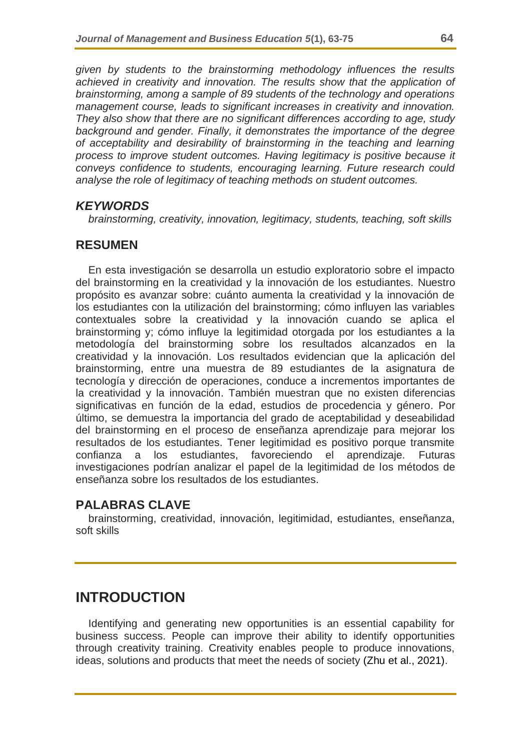*given by students to the brainstorming methodology influences the results achieved in creativity and innovation. The results show that the application of brainstorming, among a sample of 89 students of the technology and operations management course, leads to significant increases in creativity and innovation. They also show that there are no significant differences according to age, study background and gender. Finally, it demonstrates the importance of the degree of acceptability and desirability of brainstorming in the teaching and learning process to improve student outcomes. Having legitimacy is positive because it conveys confidence to students, encouraging learning. Future research could analyse the role of legitimacy of teaching methods on student outcomes.*

## *KEYWORDS*

*brainstorming, creativity, innovation, legitimacy, students, teaching, soft skills*

## **RESUMEN**

En esta investigación se desarrolla un estudio exploratorio sobre el impacto del brainstorming en la creatividad y la innovación de los estudiantes. Nuestro propósito es avanzar sobre: cuánto aumenta la creatividad y la innovación de los estudiantes con la utilización del brainstorming; cómo influyen las variables contextuales sobre la creatividad y la innovación cuando se aplica el brainstorming y; cómo influye la legitimidad otorgada por los estudiantes a la metodología del brainstorming sobre los resultados alcanzados en la creatividad y la innovación. Los resultados evidencian que la aplicación del brainstorming, entre una muestra de 89 estudiantes de la asignatura de tecnología y dirección de operaciones, conduce a incrementos importantes de la creatividad y la innovación. También muestran que no existen diferencias significativas en función de la edad, estudios de procedencia y género. Por último, se demuestra la importancia del grado de aceptabilidad y deseabilidad del brainstorming en el proceso de enseñanza aprendizaje para mejorar los resultados de los estudiantes. Tener legitimidad es positivo porque transmite confianza a los estudiantes, favoreciendo el aprendizaje. Futuras investigaciones podrían analizar el papel de la legitimidad de los métodos de enseñanza sobre los resultados de los estudiantes.

## **PALABRAS CLAVE**

brainstorming, creatividad, innovación, legitimidad, estudiantes, enseñanza, soft skills

## **INTRODUCTION**

Identifying and generating new opportunities is an essential capability for business success. People can improve their ability to identify opportunities through creativity training. Creativity enables people to produce innovations, ideas, solutions and products that meet the needs of society (Zhu et al., 2021).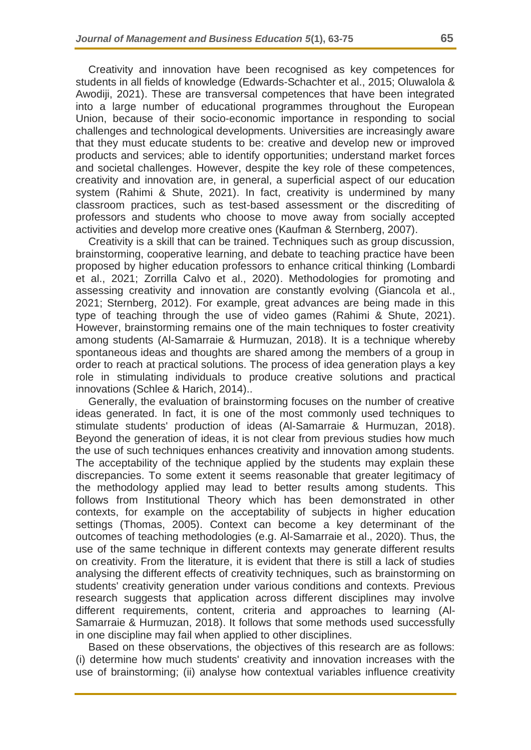Creativity and innovation have been recognised as key competences for students in all fields of knowledge (Edwards-Schachter et al., 2015; Oluwalola & Awodiji, 2021). These are transversal competences that have been integrated into a large number of educational programmes throughout the European Union, because of their socio-economic importance in responding to social challenges and technological developments. Universities are increasingly aware that they must educate students to be: creative and develop new or improved products and services; able to identify opportunities; understand market forces and societal challenges. However, despite the key role of these competences, creativity and innovation are, in general, a superficial aspect of our education system (Rahimi & Shute, 2021). In fact, creativity is undermined by many classroom practices, such as test-based assessment or the discrediting of professors and students who choose to move away from socially accepted activities and develop more creative ones (Kaufman & Sternberg, 2007).

Creativity is a skill that can be trained. Techniques such as group discussion, brainstorming, cooperative learning, and debate to teaching practice have been proposed by higher education professors to enhance critical thinking (Lombardi et al., 2021; Zorrilla Calvo et al., 2020). Methodologies for promoting and assessing creativity and innovation are constantly evolving (Giancola et al., 2021; Sternberg, 2012). For example, great advances are being made in this type of teaching through the use of video games (Rahimi & Shute, 2021). However, brainstorming remains one of the main techniques to foster creativity among students (Al-Samarraie & Hurmuzan, 2018). It is a technique whereby spontaneous ideas and thoughts are shared among the members of a group in order to reach at practical solutions. The process of idea generation plays a key role in stimulating individuals to produce creative solutions and practical innovations (Schlee & Harich, 2014)..

Generally, the evaluation of brainstorming focuses on the number of creative ideas generated. In fact, it is one of the most commonly used techniques to stimulate students' production of ideas (Al-Samarraie & Hurmuzan, 2018). Beyond the generation of ideas, it is not clear from previous studies how much the use of such techniques enhances creativity and innovation among students. The acceptability of the technique applied by the students may explain these discrepancies. To some extent it seems reasonable that greater legitimacy of the methodology applied may lead to better results among students. This follows from Institutional Theory which has been demonstrated in other contexts, for example on the acceptability of subjects in higher education settings (Thomas, 2005). Context can become a key determinant of the outcomes of teaching methodologies (e.g. Al-Samarraie et al., 2020). Thus, the use of the same technique in different contexts may generate different results on creativity. From the literature, it is evident that there is still a lack of studies analysing the different effects of creativity techniques, such as brainstorming on students' creativity generation under various conditions and contexts. Previous research suggests that application across different disciplines may involve different requirements, content, criteria and approaches to learning (Al-Samarraie & Hurmuzan, 2018). It follows that some methods used successfully in one discipline may fail when applied to other disciplines.

Based on these observations, the objectives of this research are as follows: (i) determine how much students' creativity and innovation increases with the use of brainstorming; (ii) analyse how contextual variables influence creativity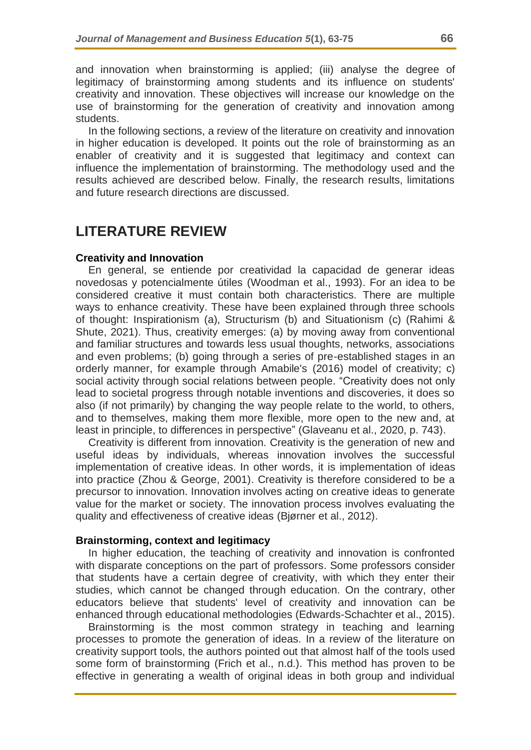and innovation when brainstorming is applied; (iii) analyse the degree of legitimacy of brainstorming among students and its influence on students' creativity and innovation. These objectives will increase our knowledge on the use of brainstorming for the generation of creativity and innovation among students.

In the following sections, a review of the literature on creativity and innovation in higher education is developed. It points out the role of brainstorming as an enabler of creativity and it is suggested that legitimacy and context can influence the implementation of brainstorming. The methodology used and the results achieved are described below. Finally, the research results, limitations and future research directions are discussed.

## **LITERATURE REVIEW**

#### **Creativity and Innovation**

En general, se entiende por creatividad la capacidad de generar ideas novedosas y potencialmente útiles (Woodman et al., 1993). For an idea to be considered creative it must contain both characteristics. There are multiple ways to enhance creativity. These have been explained through three schools of thought: Inspirationism (a), Structurism (b) and Situationism (c) (Rahimi & Shute, 2021). Thus, creativity emerges: (a) by moving away from conventional and familiar structures and towards less usual thoughts, networks, associations and even problems; (b) going through a series of pre-established stages in an orderly manner, for example through Amabile's (2016) model of creativity; c) social activity through social relations between people. "Creativity does not only lead to societal progress through notable inventions and discoveries, it does so also (if not primarily) by changing the way people relate to the world, to others, and to themselves, making them more flexible, more open to the new and, at least in principle, to differences in perspective" (Glaveanu et al., 2020, p. 743).

Creativity is different from innovation. Creativity is the generation of new and useful ideas by individuals, whereas innovation involves the successful implementation of creative ideas. In other words, it is implementation of ideas into practice (Zhou & George, 2001). Creativity is therefore considered to be a precursor to innovation. Innovation involves acting on creative ideas to generate value for the market or society. The innovation process involves evaluating the quality and effectiveness of creative ideas (Bjørner et al., 2012).

#### **Brainstorming, context and legitimacy**

In higher education, the teaching of creativity and innovation is confronted with disparate conceptions on the part of professors. Some professors consider that students have a certain degree of creativity, with which they enter their studies, which cannot be changed through education. On the contrary, other educators believe that students' level of creativity and innovation can be enhanced through educational methodologies (Edwards-Schachter et al., 2015).

Brainstorming is the most common strategy in teaching and learning processes to promote the generation of ideas. In a review of the literature on creativity support tools, the authors pointed out that almost half of the tools used some form of brainstorming (Frich et al., n.d.). This method has proven to be effective in generating a wealth of original ideas in both group and individual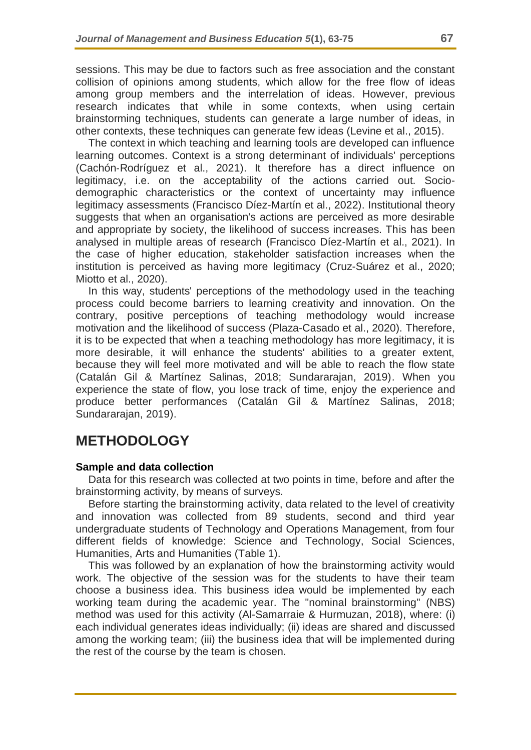sessions. This may be due to factors such as free association and the constant collision of opinions among students, which allow for the free flow of ideas among group members and the interrelation of ideas. However, previous research indicates that while in some contexts, when using certain brainstorming techniques, students can generate a large number of ideas, in other contexts, these techniques can generate few ideas (Levine et al., 2015).

The context in which teaching and learning tools are developed can influence learning outcomes. Context is a strong determinant of individuals' perceptions (Cachón‐Rodríguez et al., 2021). It therefore has a direct influence on legitimacy, i.e. on the acceptability of the actions carried out. Sociodemographic characteristics or the context of uncertainty may influence legitimacy assessments (Francisco Díez-Martín et al., 2022). Institutional theory suggests that when an organisation's actions are perceived as more desirable and appropriate by society, the likelihood of success increases. This has been analysed in multiple areas of research (Francisco Díez-Martín et al., 2021). In the case of higher education, stakeholder satisfaction increases when the institution is perceived as having more legitimacy (Cruz-Suárez et al., 2020; Miotto et al., 2020).

In this way, students' perceptions of the methodology used in the teaching process could become barriers to learning creativity and innovation. On the contrary, positive perceptions of teaching methodology would increase motivation and the likelihood of success (Plaza-Casado et al., 2020). Therefore, it is to be expected that when a teaching methodology has more legitimacy, it is more desirable, it will enhance the students' abilities to a greater extent, because they will feel more motivated and will be able to reach the flow state (Catalán Gil & Martínez Salinas, 2018; Sundararajan, 2019). When you experience the state of flow, you lose track of time, enjoy the experience and produce better performances (Catalán Gil & Martínez Salinas, 2018; Sundararajan, 2019).

# **METHODOLOGY**

### **Sample and data collection**

Data for this research was collected at two points in time, before and after the brainstorming activity, by means of surveys.

Before starting the brainstorming activity, data related to the level of creativity and innovation was collected from 89 students, second and third year undergraduate students of Technology and Operations Management, from four different fields of knowledge: Science and Technology, Social Sciences, Humanities, Arts and Humanities (Table 1).

This was followed by an explanation of how the brainstorming activity would work. The objective of the session was for the students to have their team choose a business idea. This business idea would be implemented by each working team during the academic year. The "nominal brainstorming" (NBS) method was used for this activity (Al-Samarraie & Hurmuzan, 2018), where: (i) each individual generates ideas individually; (ii) ideas are shared and discussed among the working team; (iii) the business idea that will be implemented during the rest of the course by the team is chosen.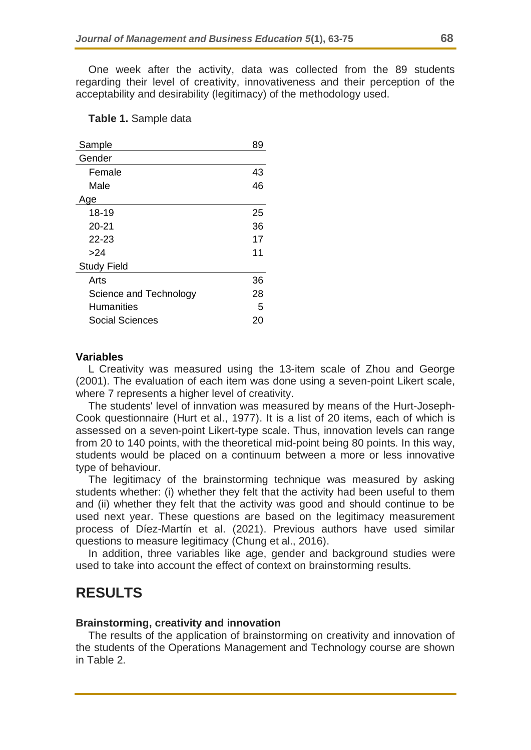One week after the activity, data was collected from the 89 students regarding their level of creativity, innovativeness and their perception of the acceptability and desirability (legitimacy) of the methodology used.

#### **Table 1.** Sample data

| Sample                 | 89 |
|------------------------|----|
| Gender                 |    |
| Female                 | 43 |
| Male                   | 46 |
| Age                    |    |
| $18 - 19$              | 25 |
| $20 - 21$              | 36 |
| $22 - 23$              | 17 |
| >24                    | 11 |
| <b>Study Field</b>     |    |
| Arts                   | 36 |
| Science and Technology | 28 |
| <b>Humanities</b>      | 5  |
| Social Sciences        | 20 |

#### **Variables**

L Creativity was measured using the 13-item scale of Zhou and George (2001). The evaluation of each item was done using a seven-point Likert scale, where 7 represents a higher level of creativity.

The students' level of innvation was measured by means of the Hurt-Joseph-Cook questionnaire (Hurt et al., 1977). It is a list of 20 items, each of which is assessed on a seven-point Likert-type scale. Thus, innovation levels can range from 20 to 140 points, with the theoretical mid-point being 80 points. In this way, students would be placed on a continuum between a more or less innovative type of behaviour.

The legitimacy of the brainstorming technique was measured by asking students whether: (i) whether they felt that the activity had been useful to them and (ii) whether they felt that the activity was good and should continue to be used next year. These questions are based on the legitimacy measurement process of Díez-Martín et al. (2021). Previous authors have used similar questions to measure legitimacy (Chung et al., 2016).

In addition, three variables like age, gender and background studies were used to take into account the effect of context on brainstorming results.

## **RESULTS**

#### **Brainstorming, creativity and innovation**

The results of the application of brainstorming on creativity and innovation of the students of the Operations Management and Technology course are shown in Table 2.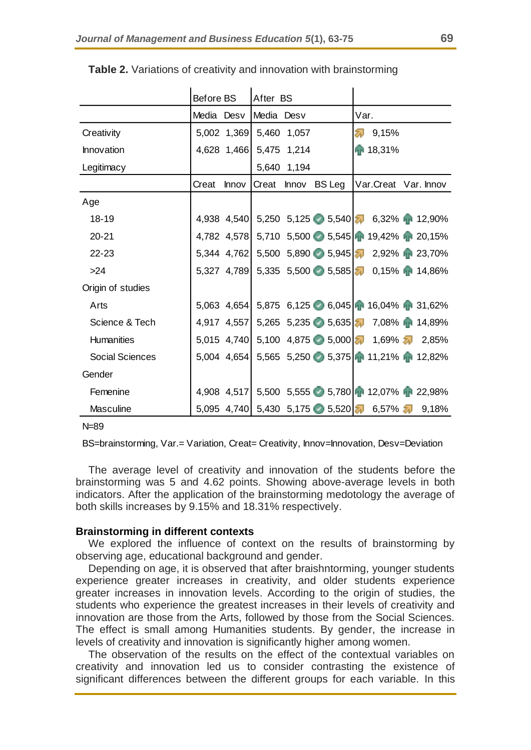|                        | Before BS  |              | After BS                |             |              |                                                           |
|------------------------|------------|--------------|-------------------------|-------------|--------------|-----------------------------------------------------------|
|                        | Media Desv |              | Media Desv              |             |              | Var.                                                      |
| Creativity             |            |              | 5,002 1,369 5,460 1,057 |             |              | $\sqrt{24}$ 9,15%                                         |
| Innovation             |            | 4,628 1,466  |                         | 5,475 1,214 |              | ● 18,31%                                                  |
| Legitimacy             |            |              |                         | 5,640 1,194 |              |                                                           |
|                        | Creat      | <b>Innov</b> | Creat                   |             | Innov BS Leg | Var.Creat Var. Innov                                      |
| Age                    |            |              |                         |             |              |                                                           |
| 18-19                  |            |              |                         |             |              | 4,938 4,540 5,250 5,125 5,540 5,540 6,32% <b>1</b> 12,90% |
| $20 - 21$              |            |              |                         |             |              | 4,782 4,578 5,710 5,500 5,545 19,42% 1 20,15%             |
| 22-23                  |            |              |                         |             |              | 5,344 4,762 5,500 5,890 5,945 7 2,92% 1 23,70%            |
| >24                    |            |              |                         |             |              | 5,327 4,789 5,335 5,500 5,585 4 0,15% 14,86%              |
| Origin of studies      |            |              |                         |             |              |                                                           |
| Arts                   |            |              |                         |             |              | 5,063 4,654 5,875 6,125 6,045 16,04% 131,62%              |
| Science & Tech         |            | 4,917 4,557  |                         |             |              | 5,265 5,235 5,635 7,08% <sup>1</sup> 14,89%               |
| <b>Humanities</b>      |            | 5,015 4,740  |                         |             |              | 5,100 4,875 5,000 1,69% 2,85%                             |
| <b>Social Sciences</b> |            | 5,004 4,654  |                         |             |              | 5,565 5,250 5,375 1 11,21% 1 12,82%                       |
| Gender                 |            |              |                         |             |              |                                                           |
| Femenine               |            |              |                         |             |              | 4,908 4,517 5,500 5,555 5,780 12,07% 1 22,98%             |
| <b>Masculine</b>       |            |              |                         |             |              | 5,095 4,740 5,430 5,175 5,520 6,57% <b>7</b> 9,18%        |

**Table 2.** Variations of creativity and innovation with brainstorming

N=89

BS=brainstorming, Var.= Variation, Creat= Creativity, Innov=Innovation, Desv=Deviation

The average level of creativity and innovation of the students before the brainstorming was 5 and 4.62 points. Showing above-average levels in both indicators. After the application of the brainstorming medotology the average of both skills increases by 9.15% and 18.31% respectively.

#### **Brainstorming in different contexts**

We explored the influence of context on the results of brainstorming by observing age, educational background and gender.

Depending on age, it is observed that after braishntorming, younger students experience greater increases in creativity, and older students experience greater increases in innovation levels. According to the origin of studies, the students who experience the greatest increases in their levels of creativity and innovation are those from the Arts, followed by those from the Social Sciences. The effect is small among Humanities students. By gender, the increase in levels of creativity and innovation is significantly higher among women.

The observation of the results on the effect of the contextual variables on creativity and innovation led us to consider contrasting the existence of significant differences between the different groups for each variable. In this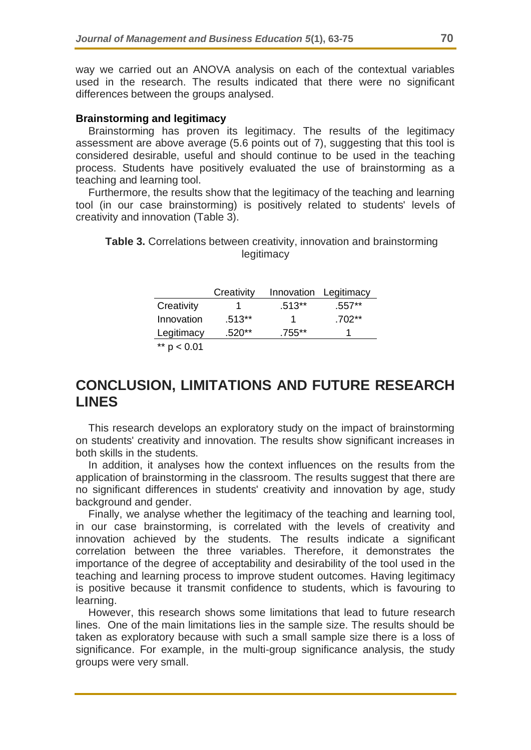way we carried out an ANOVA analysis on each of the contextual variables used in the research. The results indicated that there were no significant differences between the groups analysed.

### **Brainstorming and legitimacy**

Brainstorming has proven its legitimacy. The results of the legitimacy assessment are above average (5.6 points out of 7), suggesting that this tool is considered desirable, useful and should continue to be used in the teaching process. Students have positively evaluated the use of brainstorming as a teaching and learning tool.

Furthermore, the results show that the legitimacy of the teaching and learning tool (in our case brainstorming) is positively related to students' levels of creativity and innovation (Table 3).

### **Table 3.** Correlations between creativity, innovation and brainstorming legitimacy

|                   | Creativity |          | Innovation Legitimacy |
|-------------------|------------|----------|-----------------------|
| Creativity        |            | $.513**$ | $.557**$              |
| Innovation        | $.513**$   |          | $.702**$              |
| Legitimacy        | $.520**$   | .755**   |                       |
| $***$<br>p < 0.01 |            |          |                       |

# **CONCLUSION, LIMITATIONS AND FUTURE RESEARCH LINES**

This research develops an exploratory study on the impact of brainstorming on students' creativity and innovation. The results show significant increases in both skills in the students.

In addition, it analyses how the context influences on the results from the application of brainstorming in the classroom. The results suggest that there are no significant differences in students' creativity and innovation by age, study background and gender.

Finally, we analyse whether the legitimacy of the teaching and learning tool, in our case brainstorming, is correlated with the levels of creativity and innovation achieved by the students. The results indicate a significant correlation between the three variables. Therefore, it demonstrates the importance of the degree of acceptability and desirability of the tool used in the teaching and learning process to improve student outcomes. Having legitimacy is positive because it transmit confidence to students, which is favouring to learning.

However, this research shows some limitations that lead to future research lines. One of the main limitations lies in the sample size. The results should be taken as exploratory because with such a small sample size there is a loss of significance. For example, in the multi-group significance analysis, the study groups were very small.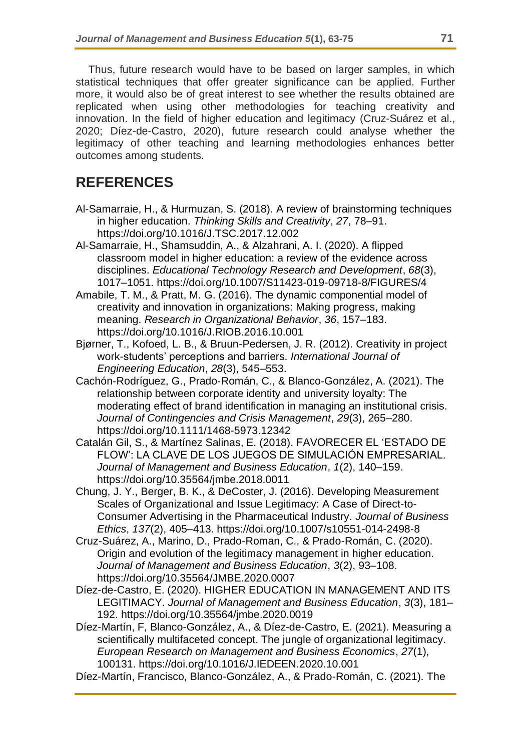Thus, future research would have to be based on larger samples, in which statistical techniques that offer greater significance can be applied. Further more, it would also be of great interest to see whether the results obtained are replicated when using other methodologies for teaching creativity and innovation. In the field of higher education and legitimacy (Cruz-Suárez et al., 2020; Díez-de-Castro, 2020), future research could analyse whether the legitimacy of other teaching and learning methodologies enhances better outcomes among students.

# **REFERENCES**

- Al-Samarraie, H., & Hurmuzan, S. (2018). A review of brainstorming techniques in higher education. *Thinking Skills and Creativity*, *27*, 78–91. https://doi.org/10.1016/J.TSC.2017.12.002
- Al-Samarraie, H., Shamsuddin, A., & Alzahrani, A. I. (2020). A flipped classroom model in higher education: a review of the evidence across disciplines. *Educational Technology Research and Development*, *68*(3), 1017–1051. https://doi.org/10.1007/S11423-019-09718-8/FIGURES/4
- Amabile, T. M., & Pratt, M. G. (2016). The dynamic componential model of creativity and innovation in organizations: Making progress, making meaning. *Research in Organizational Behavior*, *36*, 157–183. https://doi.org/10.1016/J.RIOB.2016.10.001
- Bjørner, T., Kofoed, L. B., & Bruun-Pedersen, J. R. (2012). Creativity in project work-students' perceptions and barriers. *International Journal of Engineering Education*, *28*(3), 545–553.
- Cachón‐Rodríguez, G., Prado‐Román, C., & Blanco‐González, A. (2021). The relationship between corporate identity and university loyalty: The moderating effect of brand identification in managing an institutional crisis. *Journal of Contingencies and Crisis Management*, *29*(3), 265–280. https://doi.org/10.1111/1468-5973.12342
- Catalán Gil, S., & Martínez Salinas, E. (2018). FAVORECER EL 'ESTADO DE FLOW': LA CLAVE DE LOS JUEGOS DE SIMULACIÓN EMPRESARIAL. *Journal of Management and Business Education*, *1*(2), 140–159. https://doi.org/10.35564/jmbe.2018.0011
- Chung, J. Y., Berger, B. K., & DeCoster, J. (2016). Developing Measurement Scales of Organizational and Issue Legitimacy: A Case of Direct-to-Consumer Advertising in the Pharmaceutical Industry. *Journal of Business Ethics*, *137*(2), 405–413. https://doi.org/10.1007/s10551-014-2498-8
- Cruz-Suárez, A., Marino, D., Prado-Roman, C., & Prado-Román, C. (2020). Origin and evolution of the legitimacy management in higher education. *Journal of Management and Business Education*, *3*(2), 93–108. https://doi.org/10.35564/JMBE.2020.0007
- Díez-de-Castro, E. (2020). HIGHER EDUCATION IN MANAGEMENT AND ITS LEGITIMACY. *Journal of Management and Business Education*, *3*(3), 181– 192. https://doi.org/10.35564/jmbe.2020.0019
- Díez-Martín, F, Blanco-González, A., & Díez-de-Castro, E. (2021). Measuring a scientifically multifaceted concept. The jungle of organizational legitimacy. *European Research on Management and Business Economics*, *27*(1), 100131. https://doi.org/10.1016/J.IEDEEN.2020.10.001
- Díez-Martín, Francisco, Blanco-González, A., & Prado-Román, C. (2021). The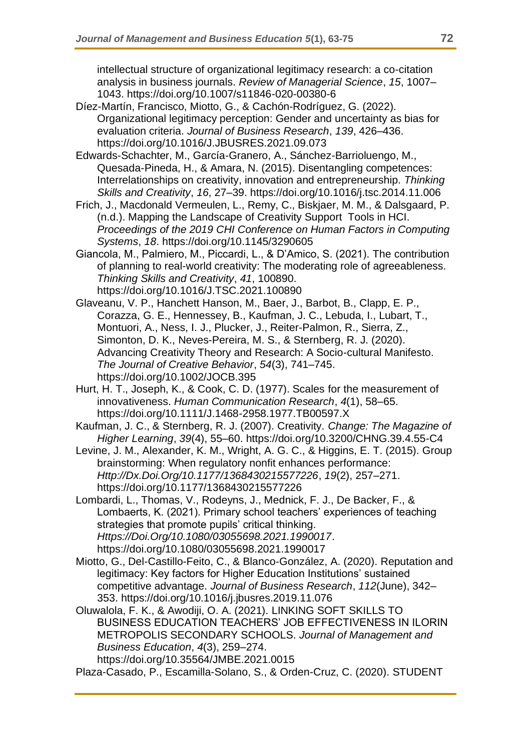intellectual structure of organizational legitimacy research: a co-citation analysis in business journals. *Review of Managerial Science*, *15*, 1007– 1043. https://doi.org/10.1007/s11846-020-00380-6

- Díez-Martín, Francisco, Miotto, G., & Cachón-Rodríguez, G. (2022). Organizational legitimacy perception: Gender and uncertainty as bias for evaluation criteria. *Journal of Business Research*, *139*, 426–436. https://doi.org/10.1016/J.JBUSRES.2021.09.073
- Edwards-Schachter, M., García-Granero, A., Sánchez-Barrioluengo, M., Quesada-Pineda, H., & Amara, N. (2015). Disentangling competences: Interrelationships on creativity, innovation and entrepreneurship. *Thinking Skills and Creativity*, *16*, 27–39. https://doi.org/10.1016/j.tsc.2014.11.006
- Frich, J., Macdonald Vermeulen, L., Remy, C., Biskjaer, M. M., & Dalsgaard, P. (n.d.). Mapping the Landscape of Creativity Support Tools in HCI. *Proceedings of the 2019 CHI Conference on Human Factors in Computing Systems*, *18*. https://doi.org/10.1145/3290605
- Giancola, M., Palmiero, M., Piccardi, L., & D'Amico, S. (2021). The contribution of planning to real-world creativity: The moderating role of agreeableness. *Thinking Skills and Creativity*, *41*, 100890. https://doi.org/10.1016/J.TSC.2021.100890
- Glaveanu, V. P., Hanchett Hanson, M., Baer, J., Barbot, B., Clapp, E. P., Corazza, G. E., Hennessey, B., Kaufman, J. C., Lebuda, I., Lubart, T., Montuori, A., Ness, I. J., Plucker, J., Reiter-Palmon, R., Sierra, Z., Simonton, D. K., Neves-Pereira, M. S., & Sternberg, R. J. (2020). Advancing Creativity Theory and Research: A Socio-cultural Manifesto. *The Journal of Creative Behavior*, *54*(3), 741–745. https://doi.org/10.1002/JOCB.395
- Hurt, H. T., Joseph, K., & Cook, C. D. (1977). Scales for the measurement of innovativeness. *Human Communication Research*, *4*(1), 58–65. https://doi.org/10.1111/J.1468-2958.1977.TB00597.X
- Kaufman, J. C., & Sternberg, R. J. (2007). Creativity. *Change: The Magazine of Higher Learning*, *39*(4), 55–60. https://doi.org/10.3200/CHNG.39.4.55-C4
- Levine, J. M., Alexander, K. M., Wright, A. G. C., & Higgins, E. T. (2015). Group brainstorming: When regulatory nonfit enhances performance: *Http://Dx.Doi.Org/10.1177/1368430215577226*, *19*(2), 257–271. https://doi.org/10.1177/1368430215577226
- Lombardi, L., Thomas, V., Rodeyns, J., Mednick, F. J., De Backer, F., & Lombaerts, K. (2021). Primary school teachers' experiences of teaching strategies that promote pupils' critical thinking. *Https://Doi.Org/10.1080/03055698.2021.1990017*. https://doi.org/10.1080/03055698.2021.1990017
- Miotto, G., Del-Castillo-Feito, C., & Blanco-González, A. (2020). Reputation and legitimacy: Key factors for Higher Education Institutions' sustained competitive advantage. *Journal of Business Research*, *112*(June), 342– 353. https://doi.org/10.1016/j.jbusres.2019.11.076
- Oluwalola, F. K., & Awodiji, O. A. (2021). LINKING SOFT SKILLS TO BUSINESS EDUCATION TEACHERS' JOB EFFECTIVENESS IN ILORIN METROPOLIS SECONDARY SCHOOLS. *Journal of Management and Business Education*, *4*(3), 259–274. https://doi.org/10.35564/JMBE.2021.0015
- Plaza-Casado, P., Escamilla-Solano, S., & Orden-Cruz, C. (2020). STUDENT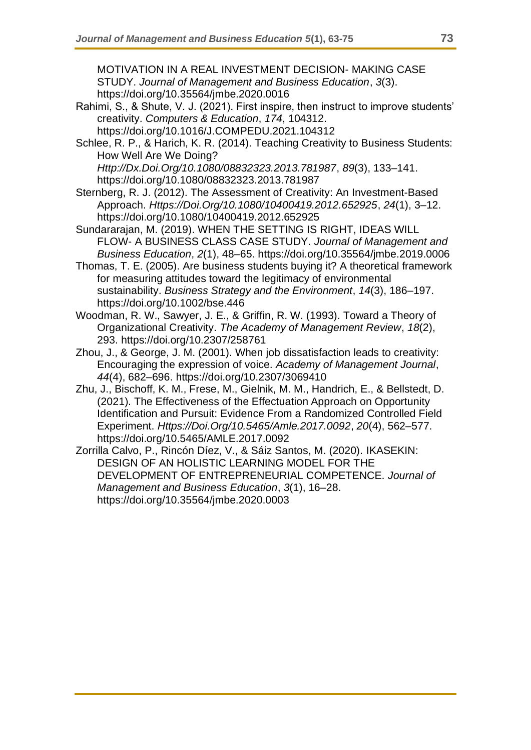MOTIVATION IN A REAL INVESTMENT DECISION- MAKING CASE STUDY. *Journal of Management and Business Education*, *3*(3). https://doi.org/10.35564/jmbe.2020.0016

- Rahimi, S., & Shute, V. J. (2021). First inspire, then instruct to improve students' creativity. *Computers & Education*, *174*, 104312. https://doi.org/10.1016/J.COMPEDU.2021.104312
- Schlee, R. P., & Harich, K. R. (2014). Teaching Creativity to Business Students: How Well Are We Doing?

*Http://Dx.Doi.Org/10.1080/08832323.2013.781987*, *89*(3), 133–141. https://doi.org/10.1080/08832323.2013.781987

- Sternberg, R. J. (2012). The Assessment of Creativity: An Investment-Based Approach. *Https://Doi.Org/10.1080/10400419.2012.652925*, *24*(1), 3–12. https://doi.org/10.1080/10400419.2012.652925
- Sundararajan, M. (2019). WHEN THE SETTING IS RIGHT, IDEAS WILL FLOW- A BUSINESS CLASS CASE STUDY. *Journal of Management and Business Education*, *2*(1), 48–65. https://doi.org/10.35564/jmbe.2019.0006
- Thomas, T. E. (2005). Are business students buying it? A theoretical framework for measuring attitudes toward the legitimacy of environmental sustainability. *Business Strategy and the Environment*, *14*(3), 186–197. https://doi.org/10.1002/bse.446
- Woodman, R. W., Sawyer, J. E., & Griffin, R. W. (1993). Toward a Theory of Organizational Creativity. *The Academy of Management Review*, *18*(2), 293. https://doi.org/10.2307/258761
- Zhou, J., & George, J. M. (2001). When job dissatisfaction leads to creativity: Encouraging the expression of voice. *Academy of Management Journal*, *44*(4), 682–696. https://doi.org/10.2307/3069410
- Zhu, J., Bischoff, K. M., Frese, M., Gielnik, M. M., Handrich, E., & Bellstedt, D. (2021). The Effectiveness of the Effectuation Approach on Opportunity Identification and Pursuit: Evidence From a Randomized Controlled Field Experiment. *Https://Doi.Org/10.5465/Amle.2017.0092*, *20*(4), 562–577. https://doi.org/10.5465/AMLE.2017.0092
- Zorrilla Calvo, P., Rincón Díez, V., & Sáiz Santos, M. (2020). IKASEKIN: DESIGN OF AN HOLISTIC LEARNING MODEL FOR THE DEVELOPMENT OF ENTREPRENEURIAL COMPETENCE. *Journal of Management and Business Education*, *3*(1), 16–28. https://doi.org/10.35564/jmbe.2020.0003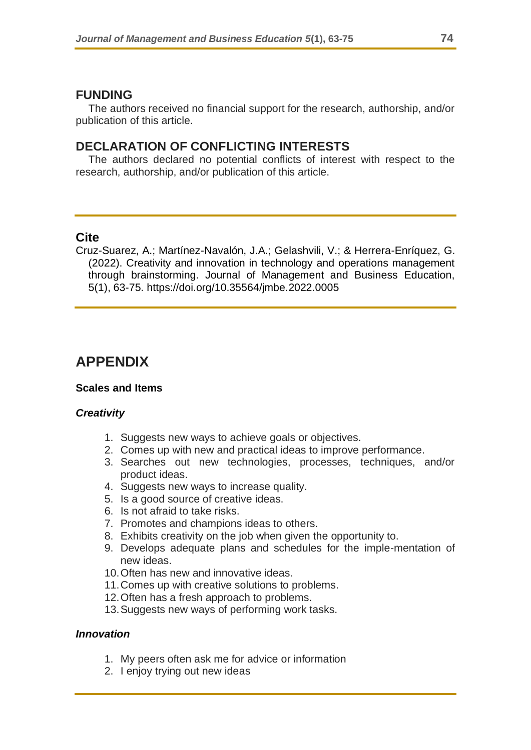## **FUNDING**

The authors received no financial support for the research, authorship, and/or publication of this article.

## **DECLARATION OF CONFLICTING INTERESTS**

The authors declared no potential conflicts of interest with respect to the research, authorship, and/or publication of this article.

## **Cite**

Cruz-Suarez, A.; Martínez-Navalón, J.A.; Gelashvili, V.; & Herrera-Enríquez, G. (2022). Creativity and innovation in technology and operations management through brainstorming. Journal of Management and Business Education, 5(1), 63-75. https://doi.org/10.35564/jmbe.2022.0005

# **APPENDIX**

### **Scales and Items**

### *Creativity*

- 1. Suggests new ways to achieve goals or objectives.
- 2. Comes up with new and practical ideas to improve performance.
- 3. Searches out new technologies, processes, techniques, and/or product ideas.
- 4. Suggests new ways to increase quality.
- 5. Is a good source of creative ideas.
- 6. Is not afraid to take risks.
- 7. Promotes and champions ideas to others.
- 8. Exhibits creativity on the job when given the opportunity to.
- 9. Develops adequate plans and schedules for the imple-mentation of new ideas.
- 10.Often has new and innovative ideas.
- 11.Comes up with creative solutions to problems.
- 12.Often has a fresh approach to problems.
- 13.Suggests new ways of performing work tasks.

### *Innovation*

- 1. My peers often ask me for advice or information
- 2. I enjoy trying out new ideas